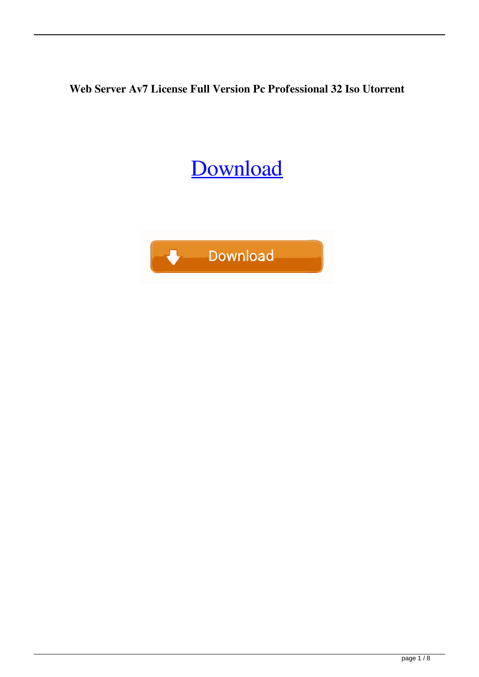**Web Server Av7 License Full Version Pc Professional 32 Iso Utorrent**

## [Download](http://evacdir.com/crated/bronson.thestrup?dmlkZW8gd2ViIHNlcnZlciBhdjczMmUgc2V0dXAgZXhldml.epipen.juninho/litwak.ZG93bmxvYWR8Rjh2YVROcGZId3hOalV5TnpRd09EWTJmSHd5TlRjMGZId29UU2tnY21WaFpDMWliRzluSUZ0R1lYTjBJRWRGVGww)

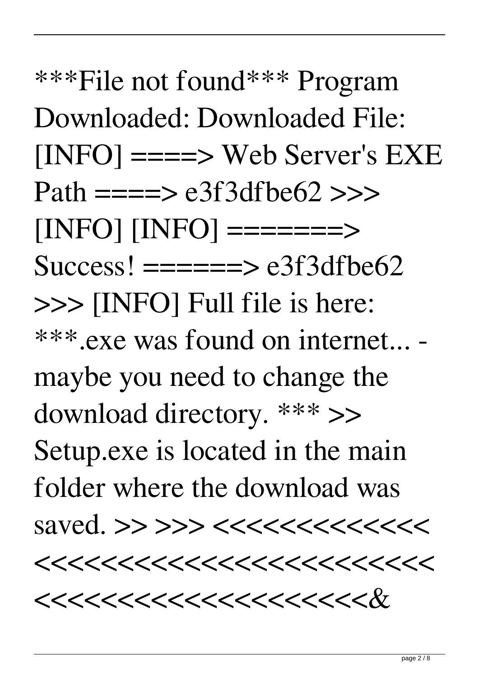\*\*\*File not found\*\*\* Program Downloaded: Downloaded File:  $[INFO] == => Web Server's EXE$ Path  $=\equiv \equiv \geq e3f3dfbe62 \implies$ [INFO] [INFO] =======>  $Success! = == == > e3f3dfbe62$ >>> [INFO] Full file is here: \*\*\*.exe was found on internet... maybe you need to change the download directory. \*\*\* >> Setup.exe is located in the main folder where the download was saved. >> >>> <<<<<<<<<<<<<  $<<<<<<<<<<<<<<<<<<<<<<<<<<$  $<<<<<<<<<<<<<<<<<<<<$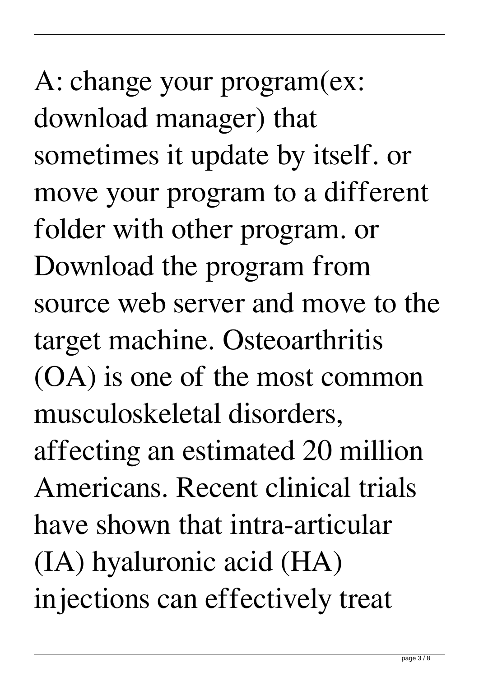A: change your program(ex: download manager) that sometimes it update by itself. or move your program to a different folder with other program. or Download the program from source web server and move to the target machine. Osteoarthritis (OA) is one of the most common musculoskeletal disorders, affecting an estimated 20 million Americans. Recent clinical trials have shown that intra-articular (IA) hyaluronic acid (HA) injections can effectively treat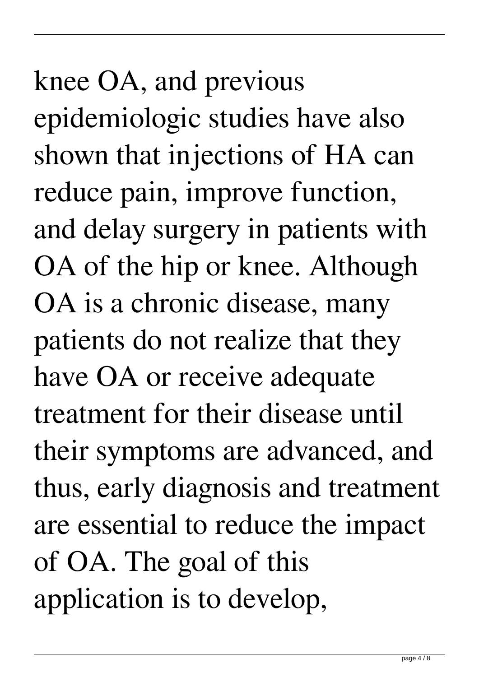knee OA, and previous epidemiologic studies have also shown that injections of HA can reduce pain, improve function, and delay surgery in patients with OA of the hip or knee. Although OA is a chronic disease, many patients do not realize that they have OA or receive adequate treatment for their disease until their symptoms are advanced, and thus, early diagnosis and treatment are essential to reduce the impact of OA. The goal of this application is to develop,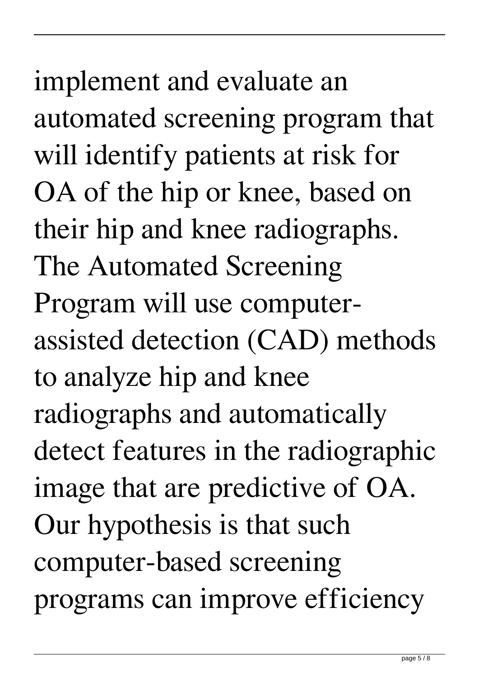implement and evaluate an automated screening program that will identify patients at risk for OA of the hip or knee, based on their hip and knee radiographs. The Automated Screening Program will use computerassisted detection (CAD) methods to analyze hip and knee radiographs and automatically detect features in the radiographic image that are predictive of OA. Our hypothesis is that such computer-based screening programs can improve efficiency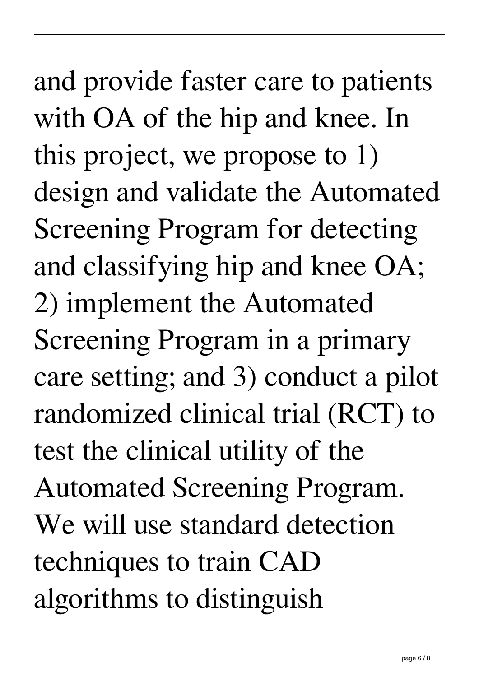and provide faster care to patients with OA of the hip and knee. In this project, we propose to 1) design and validate the Automated Screening Program for detecting and classifying hip and knee OA; 2) implement the Automated Screening Program in a primary care setting; and 3) conduct a pilot randomized clinical trial (RCT) to test the clinical utility of the Automated Screening Program. We will use standard detection techniques to train CAD algorithms to distinguish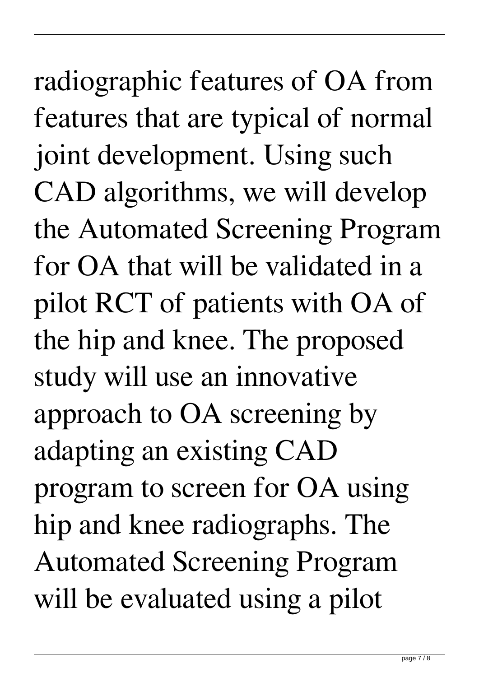radiographic features of OA from features that are typical of normal joint development. Using such CAD algorithms, we will develop the Automated Screening Program for OA that will be validated in a pilot RCT of patients with OA of the hip and knee. The proposed study will use an innovative approach to OA screening by adapting an existing CAD program to screen for OA using hip and knee radiographs. The Automated Screening Program will be evaluated using a pilot